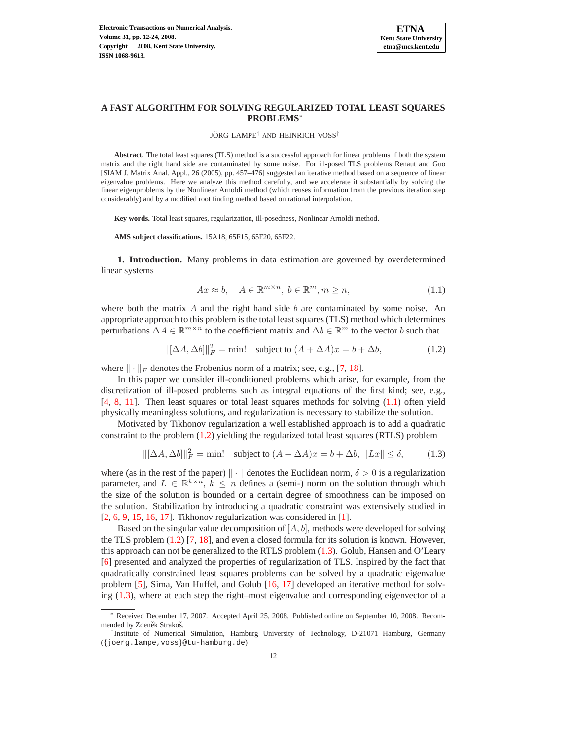

# **A FAST ALGORITHM FOR SOLVING REGULARIZED TOTAL LEAST SQUARES PROBLEMS**<sup>∗</sup>

#### JÖRG LAMPE<sup>†</sup> AND HEINRICH VOSS<sup>†</sup>

**Abstract.** The total least squares (TLS) method is a successful approach for linear problems if both the system matrix and the right hand side are contaminated by some noise. For ill-posed TLS problems Renaut and Guo [SIAM J. Matrix Anal. Appl., 26 (2005), pp. 457–476] suggested an iterative method based on a sequence of linear eigenvalue problems. Here we analyze this method carefully, and we accelerate it substantially by solving the linear eigenproblems by the Nonlinear Arnoldi method (which reuses information from the previous iteration step considerably) and by a modified root finding method based on rational interpolation.

**Key words.** Total least squares, regularization, ill-posedness, Nonlinear Arnoldi method.

**AMS subject classifications.** 15A18, 65F15, 65F20, 65F22.

<span id="page-0-0"></span>**1. Introduction.** Many problems in data estimation are governed by overdetermined linear systems

$$
Ax \approx b, \quad A \in \mathbb{R}^{m \times n}, \ b \in \mathbb{R}^m, m \ge n,
$$
\n(1.1)

<span id="page-0-1"></span>where both the matrix  $A$  and the right hand side  $b$  are contaminated by some noise. An appropriate approach to this problem is the total least squares (TLS) method which determines perturbations  $\Delta A \in \mathbb{R}^{m \times n}$  to the coefficient matrix and  $\Delta b \in \mathbb{R}^m$  to the vector b such that

$$
\|[\Delta A, \Delta b]\|_F^2 = \min! \quad \text{subject to } (A + \Delta A)x = b + \Delta b,\tag{1.2}
$$

where  $\| \cdot \|_F$  denotes the Frobenius norm of a matrix; see, e.g., [\[7,](#page-12-0) [18\]](#page-12-1).

In this paper we consider ill-conditioned problems which arise, for example, from the discretization of ill-posed problems such as integral equations of the first kind; see, e.g., [\[4,](#page-12-2) [8,](#page-12-3) [11\]](#page-12-4). Then least squares or total least squares methods for solving [\(1.1\)](#page-0-0) often yield physically meaningless solutions, and regularization is necessary to stabilize the solution.

<span id="page-0-2"></span>Motivated by Tikhonov regularization a well established approach is to add a quadratic constraint to the problem [\(1.2\)](#page-0-1) yielding the regularized total least squares (RTLS) problem

$$
\|[\Delta A, \Delta b]\|_F^2 = \min! \quad \text{subject to } (A + \Delta A)x = b + \Delta b, \|Lx\| \le \delta,
$$
 (1.3)

where (as in the rest of the paper)  $\|\cdot\|$  denotes the Euclidean norm,  $\delta > 0$  is a regularization parameter, and  $L \in \mathbb{R}^{k \times n}$ ,  $k \leq n$  defines a (semi-) norm on the solution through which the size of the solution is bounded or a certain degree of smoothness can be imposed on the solution. Stabilization by introducing a quadratic constraint was extensively studied in [\[2,](#page-12-5) [6,](#page-12-6) [9,](#page-12-7) [15,](#page-12-8) [16,](#page-12-9) [17\]](#page-12-10). Tikhonov regularization was considered in [\[1\]](#page-12-11).

Based on the singular value decomposition of  $[A, b]$ , methods were developed for solving the TLS problem [\(1.2\)](#page-0-1) [\[7,](#page-12-0) [18\]](#page-12-1), and even a closed formula for its solution is known. However, this approach can not be generalized to the RTLS problem [\(1.3\)](#page-0-2). Golub, Hansen and O'Leary [\[6\]](#page-12-6) presented and analyzed the properties of regularization of TLS. Inspired by the fact that quadratically constrained least squares problems can be solved by a quadratic eigenvalue problem [\[5\]](#page-12-12), Sima, Van Huffel, and Golub [\[16,](#page-12-9) [17\]](#page-12-10) developed an iterative method for solving [\(1.3\)](#page-0-2), where at each step the right–most eigenvalue and corresponding eigenvector of a

<sup>∗</sup> Received December 17, 2007. Accepted April 25, 2008. Published online on September 10, 2008. Recommended by Zdeněk Strakoš.

<sup>†</sup> Institute of Numerical Simulation, Hamburg University of Technology, D-21071 Hamburg, Germany ({joerg.lampe,voss}@tu-hamburg.de)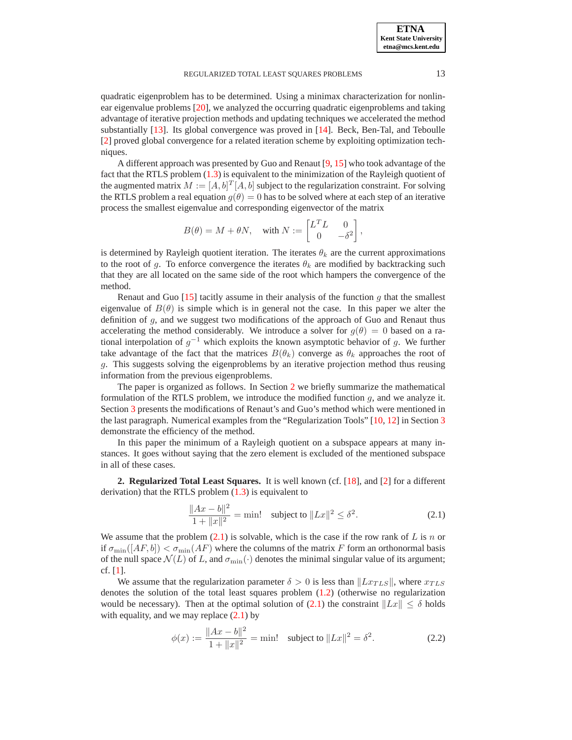### REGULARIZED TOTAL LEAST SQUARES PROBLEMS 13

quadratic eigenproblem has to be determined. Using a minimax characterization for nonlinear eigenvalue problems [\[20\]](#page-12-13), we analyzed the occurring quadratic eigenproblems and taking advantage of iterative projection methods and updating techniques we accelerated the method substantially [\[13\]](#page-12-14). Its global convergence was proved in [\[14\]](#page-12-15). Beck, Ben-Tal, and Teboulle [\[2\]](#page-12-5) proved global convergence for a related iteration scheme by exploiting optimization techniques.

A different approach was presented by Guo and Renaut [\[9,](#page-12-7) [15\]](#page-12-8) who took advantage of the fact that the RTLS problem  $(1.3)$  is equivalent to the minimization of the Rayleigh quotient of the augmented matrix  $M := [A, b]^T [A, b]$  subject to the regularization constraint. For solving the RTLS problem a real equation  $q(\theta) = 0$  has to be solved where at each step of an iterative process the smallest eigenvalue and corresponding eigenvector of the matrix

$$
B(\theta) = M + \theta N, \quad \text{with } N := \begin{bmatrix} L^T L & 0 \\ 0 & -\delta^2 \end{bmatrix},
$$

is determined by Rayleigh quotient iteration. The iterates  $\theta_k$  are the current approximations to the root of g. To enforce convergence the iterates  $\theta_k$  are modified by backtracking such that they are all located on the same side of the root which hampers the convergence of the method.

Renaut and Guo [\[15\]](#page-12-8) tacitly assume in their analysis of the function g that the smallest eigenvalue of  $B(\theta)$  is simple which is in general not the case. In this paper we alter the definition of g, and we suggest two modifications of the approach of Guo and Renaut thus accelerating the method considerably. We introduce a solver for  $g(\theta) = 0$  based on a rational interpolation of  $g^{-1}$  which exploits the known asymptotic behavior of g. We further take advantage of the fact that the matrices  $B(\theta_k)$  converge as  $\theta_k$  approaches the root of g. This suggests solving the eigenproblems by an iterative projection method thus reusing information from the previous eigenproblems.

The paper is organized as follows. In Section [2](#page-1-0) we briefly summarize the mathematical formulation of the RTLS problem, we introduce the modified function g, and we analyze it. Section [3](#page-7-0) presents the modifications of Renaut's and Guo's method which were mentioned in the last paragraph. Numerical examples from the "Regularization Tools" [\[10,](#page-12-16) [12\]](#page-12-17) in Section [3](#page-7-0) demonstrate the efficiency of the method.

In this paper the minimum of a Rayleigh quotient on a subspace appears at many instances. It goes without saying that the zero element is excluded of the mentioned subspace in all of these cases.

<span id="page-1-1"></span><span id="page-1-0"></span>**2. Regularized Total Least Squares.** It is well known (cf. [\[18\]](#page-12-1), and [\[2\]](#page-12-5) for a different derivation) that the RTLS problem  $(1.3)$  is equivalent to

$$
\frac{\|Ax - b\|^2}{1 + \|x\|^2} = \min! \quad \text{subject to } \|Lx\|^2 \le \delta^2. \tag{2.1}
$$

We assume that the problem  $(2.1)$  is solvable, which is the case if the row rank of L is n or if  $\sigma_{\min}([AF, b]) < \sigma_{\min}(AF)$  where the columns of the matrix F form an orthonormal basis of the null space  $\mathcal{N}(L)$  of L, and  $\sigma_{\min}(\cdot)$  denotes the minimal singular value of its argument; cf. [\[1\]](#page-12-11).

<span id="page-1-2"></span>We assume that the regularization parameter  $\delta > 0$  is less than  $\|Lx_{TLS}\|$ , where  $x_{TLS}$ denotes the solution of the total least squares problem [\(1.2\)](#page-0-1) (otherwise no regularization would be necessary). Then at the optimal solution of [\(2.1\)](#page-1-1) the constraint  $||Lx|| < \delta$  holds with equality, and we may replace  $(2.1)$  by

$$
\phi(x) := \frac{\|Ax - b\|^2}{1 + \|x\|^2} = \min! \quad \text{subject to } \|Lx\|^2 = \delta^2. \tag{2.2}
$$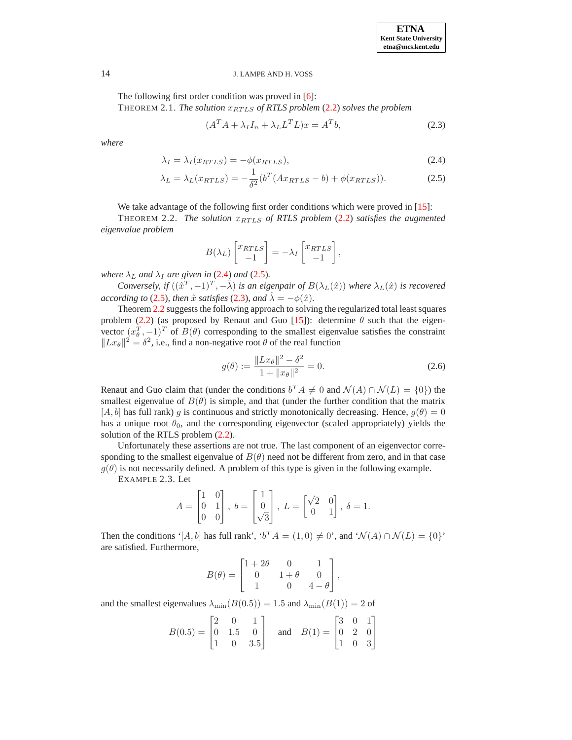<span id="page-2-1"></span>The following first order condition was proved in [\[6\]](#page-12-6): THEOREM 2.1. *The solution*  $x_{RTLS}$  of RTLS problem [\(2.2\)](#page-1-2) solves the problem

$$
(A^T A + \lambda_I I_n + \lambda_L L^T L)x = A^T b,\tag{2.3}
$$

<span id="page-2-0"></span>*where*

$$
\lambda_I = \lambda_I(x_{RTLS}) = -\phi(x_{RTLS}),\tag{2.4}
$$

$$
\lambda_L = \lambda_L(x_{RTLS}) = -\frac{1}{\delta^2} (b^T (Ax_{RTLS} - b) + \phi(x_{RTLS})). \tag{2.5}
$$

We take advantage of the following first order conditions which were proved in [\[15\]](#page-12-8):

THEOREM 2.2. *The solution*  $x_{RTLS}$  of RTLS problem [\(2.2\)](#page-1-2) satisfies the augmented *eigenvalue problem*

<span id="page-2-2"></span>
$$
B(\lambda_L) \begin{bmatrix} x_{RTLS} \\ -1 \end{bmatrix} = -\lambda_I \begin{bmatrix} x_{RTLS} \\ -1 \end{bmatrix},
$$

*where*  $\lambda_L$  *and*  $\lambda_I$  *are given in* [\(2.4\)](#page-2-0) *and* [\(2.5\)](#page-2-0)*.* 

*Conversely, if*  $((\hat{x}^T, -1)^T, -\hat{\lambda})$  *is an eigenpair of*  $B(\lambda_L(\hat{x}))$  *where*  $\lambda_L(\hat{x})$  *is recovered according to* [\(2.5\)](#page-2-0)*, then*  $\hat{x}$  *satisfies* (2.3*), and*  $\hat{\lambda} = -\phi(\hat{x})$ *.* 

Theorem [2.2](#page-2-2) suggests the following approach to solving the regularized total least squares problem [\(2.2\)](#page-1-2) (as proposed by Renaut and Guo [\[15\]](#page-12-8)): determine  $\theta$  such that the eigenvector  $(x_0^T, -1)^T$  of  $B(\theta)$  corresponding to the smallest eigenvalue satisfies the constraint  $||Lx_{\theta}||^2 = \delta^2$ , i.e., find a non-negative root  $\theta$  of the real function

$$
g(\theta) := \frac{\|Lx_{\theta}\|^2 - \delta^2}{1 + \|x_{\theta}\|^2} = 0.
$$
 (2.6)

<span id="page-2-4"></span>Renaut and Guo claim that (under the conditions  $b^T A \neq 0$  and  $\mathcal{N}(A) \cap \mathcal{N}(L) = \{0\}$ ) the smallest eigenvalue of  $B(\theta)$  is simple, and that (under the further condition that the matrix [A, b] has full rank) g is continuous and strictly monotonically decreasing. Hence,  $g(\theta) = 0$ has a unique root  $\theta_0$ , and the corresponding eigenvector (scaled appropriately) yields the solution of the RTLS problem [\(2.2\)](#page-1-2).

<span id="page-2-3"></span>Unfortunately these assertions are not true. The last component of an eigenvector corresponding to the smallest eigenvalue of  $B(\theta)$  need not be different from zero, and in that case  $g(\theta)$  is not necessarily defined. A problem of this type is given in the following example.

EXAMPLE 2.3. Let

$$
A = \begin{bmatrix} 1 & 0 \\ 0 & 1 \\ 0 & 0 \end{bmatrix}, b = \begin{bmatrix} 1 \\ 0 \\ \sqrt{3} \end{bmatrix}, L = \begin{bmatrix} \sqrt{2} & 0 \\ 0 & 1 \end{bmatrix}, \delta = 1.
$$

Then the conditions ' $[A, b]$  has full rank', ' $b^T A = (1, 0) \neq 0$ ', and ' $\mathcal{N}(A) \cap \mathcal{N}(L) = \{0\}'$ ' are satisfied. Furthermore,

$$
B(\theta) = \begin{bmatrix} 1+2\theta & 0 & 1 \\ 0 & 1+\theta & 0 \\ 1 & 0 & 4-\theta \end{bmatrix},
$$

and the smallest eigenvalues  $\lambda_{\min}(B(0.5)) = 1.5$  and  $\lambda_{\min}(B(1)) = 2$  of

$$
B(0.5) = \begin{bmatrix} 2 & 0 & 1 \\ 0 & 1.5 & 0 \\ 1 & 0 & 3.5 \end{bmatrix} \text{ and } B(1) = \begin{bmatrix} 3 & 0 & 1 \\ 0 & 2 & 0 \\ 1 & 0 & 3 \end{bmatrix}
$$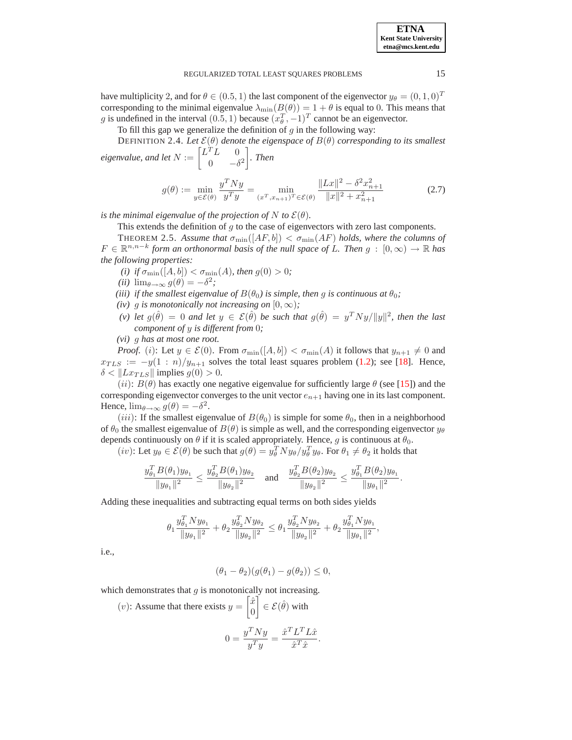have multiplicity 2, and for  $\theta \in (0.5, 1)$  the last component of the eigenvector  $y_{\theta} = (0, 1, 0)^T$ corresponding to the minimal eigenvalue  $\lambda_{\min}(B(\theta)) = 1 + \theta$  is equal to 0. This means that g is undefined in the interval  $(0.5, 1)$  because  $(x_\theta^T, -1)^T$  cannot be an eigenvector.

To fill this gap we generalize the definition of  $g$  in the following way:

<span id="page-3-1"></span>DEFINITION 2.4. Let  $\mathcal{E}(\theta)$  denote the eigenspace of  $B(\theta)$  corresponding to its smallest *eigenvalue, and let*  $N := \begin{bmatrix} L^T L & 0 \\ 0 & 0 \end{bmatrix}$ 0  $-\delta^2$ *. Then*

$$
g(\theta) := \min_{y \in \mathcal{E}(\theta)} \frac{y^T N y}{y^T y} = \min_{(x^T, x_{n+1})^T \in \mathcal{E}(\theta)} \frac{\|Lx\|^2 - \delta^2 x_{n+1}^2}{\|x\|^2 + x_{n+1}^2}
$$
(2.7)

*is the minimal eigenvalue of the projection of*  $N$  *to*  $\mathcal{E}(\theta)$ *.* 

This extends the definition of  $g$  to the case of eigenvectors with zero last components.

<span id="page-3-0"></span>**THEOREM 2.5.** Assume that  $\sigma_{\min}([AF, b]) < \sigma_{\min}(AF)$  holds, where the columns of  $F \in \mathbb{R}^{n,n-k}$  form an orthonormal basis of the null space of L. Then  $g : [0, \infty) \to \mathbb{R}$  has *the following properties:*

- *(i)* if  $\sigma_{\min}([A, b]) < \sigma_{\min}(A)$ *, then*  $g(0) > 0$ *;*
- $(iii)$   $\lim_{\theta \to \infty} g(\theta) = -\delta^2;$
- *(iii) if the smallest eigenvalue of*  $B(\theta_0)$  *is simple, then* g *is continuous at*  $\theta_0$ *;*
- *(iv)* g *is monotonically not increasing on*  $[0, \infty)$ *;*
- (*v*) let  $g(\hat{\theta}) = 0$  and let  $y \in \mathcal{E}(\hat{\theta})$  be such that  $g(\hat{\theta}) = y^T N y / ||y||^2$ , then the last *component of* y *is different from* 0*;*

*(vi)* g *has at most one root.*

*Proof.* (i): Let  $y \in \mathcal{E}(0)$ . From  $\sigma_{\min}([A, b]) < \sigma_{\min}(A)$  it follows that  $y_{n+1} \neq 0$  and  $x_{TLS} := -y(1:n)/y_{n+1}$  solves the total least squares problem [\(1.2\)](#page-0-1); see [\[18\]](#page-12-1). Hence,  $\delta < ||Lx_{TLS}||$  implies  $g(0) > 0$ .

(ii):  $B(\theta)$  has exactly one negative eigenvalue for sufficiently large  $\theta$  (see [\[15\]](#page-12-8)) and the corresponding eigenvector converges to the unit vector  $e_{n+1}$  having one in its last component. Hence,  $\lim_{\theta \to \infty} g(\theta) = -\delta^2$ .

(iii): If the smallest eigenvalue of  $B(\theta_0)$  is simple for some  $\theta_0$ , then in a neighborhood of  $\theta_0$  the smallest eigenvalue of  $B(\theta)$  is simple as well, and the corresponding eigenvector  $y_\theta$ depends continuously on  $\theta$  if it is scaled appropriately. Hence, g is continuous at  $\theta_0$ .

(*iv*): Let  $y_\theta \in \mathcal{E}(\theta)$  be such that  $g(\theta) = y_\theta^T N y_\theta / y_\theta^T y_\theta$ . For  $\theta_1 \neq \theta_2$  it holds that

$$
\frac{y_{\theta_1}^T B(\theta_1) y_{\theta_1}}{\|y_{\theta_1}\|^2} \le \frac{y_{\theta_2}^T B(\theta_1) y_{\theta_2}}{\|y_{\theta_2}\|^2} \quad \text{and} \quad \frac{y_{\theta_2}^T B(\theta_2) y_{\theta_2}}{\|y_{\theta_2}\|^2} \le \frac{y_{\theta_1}^T B(\theta_2) y_{\theta_1}}{\|y_{\theta_1}\|^2}.
$$

Adding these inequalities and subtracting equal terms on both sides yields

$$
\theta_1 \frac{y_{\theta_1}^T N y_{\theta_1}}{\|y_{\theta_1}\|^2} + \theta_2 \frac{y_{\theta_2}^T N y_{\theta_2}}{\|y_{\theta_2}\|^2} \le \theta_1 \frac{y_{\theta_2}^T N y_{\theta_2}}{\|y_{\theta_2}\|^2} + \theta_2 \frac{y_{\theta_1}^T N y_{\theta_1}}{\|y_{\theta_1}\|^2},
$$

i.e.,

$$
(\theta_1 - \theta_2)(g(\theta_1) - g(\theta_2)) \le 0,
$$

which demonstrates that  $g$  is monotonically not increasing.

(v): Assume that there exists 
$$
y = \begin{bmatrix} \hat{x} \\ 0 \end{bmatrix} \in \mathcal{E}(\hat{\theta})
$$
 with  
\n
$$
0 = \frac{y^T N y}{y^T y} = \frac{\hat{x}^T L^T L \hat{x}}{\hat{x}^T \hat{x}}.
$$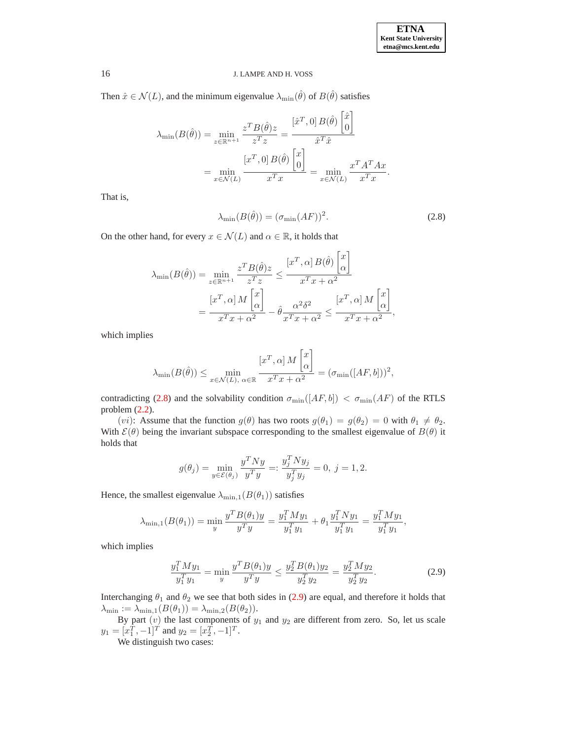Then  $\hat{x} \in \mathcal{N}(L)$ , and the minimum eigenvalue  $\lambda_{\min}(\hat{\theta})$  of  $B(\hat{\theta})$  satisfies

$$
\lambda_{\min}(B(\hat{\theta})) = \min_{z \in \mathbb{R}^{n+1}} \frac{z^T B(\hat{\theta}) z}{z^T z} = \frac{\left[\hat{x}^T, 0\right] B(\hat{\theta}) \begin{bmatrix} \hat{x} \\ 0 \end{bmatrix}}{\hat{x}^T \hat{x}}
$$

$$
= \min_{x \in \mathcal{N}(L)} \frac{\left[x^T, 0\right] B(\hat{\theta}) \begin{bmatrix} x \\ 0 \end{bmatrix}}{x^T x} = \min_{x \in \mathcal{N}(L)} \frac{x^T A^T A x}{x^T x}.
$$

<span id="page-4-0"></span>That is,

$$
\lambda_{\min}(B(\hat{\theta})) = (\sigma_{\min}(AF))^2.
$$
\n(2.8)

On the other hand, for every  $x \in \mathcal{N}(L)$  and  $\alpha \in \mathbb{R}$ , it holds that

$$
\lambda_{\min}(B(\hat{\theta})) = \min_{z \in \mathbb{R}^{n+1}} \frac{z^T B(\hat{\theta}) z}{z^T z} \le \frac{[x^T, \alpha] B(\hat{\theta}) \begin{bmatrix} x \\ \alpha \end{bmatrix}}{x^T x + \alpha^2}
$$

$$
= \frac{[x^T, \alpha] M \begin{bmatrix} x \\ \alpha \end{bmatrix}}{x^T x + \alpha^2} - \hat{\theta} \frac{\alpha^2 \delta^2}{x^T x + \alpha^2} \le \frac{[x^T, \alpha] M \begin{bmatrix} x \\ \alpha \end{bmatrix}}{x^T x + \alpha^2},
$$

which implies

$$
\lambda_{\min}(B(\hat{\theta})) \le \min_{x \in \mathcal{N}(L), \alpha \in \mathbb{R}} \frac{\left[x^T, \alpha\right] M \begin{bmatrix} x \\ \alpha \end{bmatrix}}{x^T x + \alpha^2} = (\sigma_{\min}([AF, b]))^2,
$$

contradicting [\(2.8\)](#page-4-0) and the solvability condition  $\sigma_{\min}([AF, b]) < \sigma_{\min}(AF)$  of the RTLS problem  $(2.2)$ .

(*vi*): Assume that the function  $g(\theta)$  has two roots  $g(\theta_1) = g(\theta_2) = 0$  with  $\theta_1 \neq \theta_2$ . With  $\mathcal{E}(\theta)$  being the invariant subspace corresponding to the smallest eigenvalue of  $B(\theta)$  it holds that

$$
g(\theta_j) = \min_{y \in \mathcal{E}(\theta_j)} \frac{y^T N y}{y^T y} =: \frac{y_j^T N y_j}{y_j^T y_j} = 0, \ j = 1, 2.
$$

Hence, the smallest eigenvalue  $\lambda_{\min,1}(B(\theta_1))$  satisfies

$$
\lambda_{\min,1}(B(\theta_1)) = \min_{y} \frac{y^T B(\theta_1) y}{y^T y} = \frac{y_1^T M y_1}{y_1^T y_1} + \theta_1 \frac{y_1^T N y_1}{y_1^T y_1} = \frac{y_1^T M y_1}{y_1^T y_1},
$$

<span id="page-4-1"></span>which implies

$$
\frac{y_1^T M y_1}{y_1^T y_1} = \min_y \frac{y^T B(\theta_1) y}{y^T y} \le \frac{y_2^T B(\theta_1) y_2}{y_2^T y_2} = \frac{y_2^T M y_2}{y_2^T y_2}.
$$
\n(2.9)

Interchanging  $\theta_1$  and  $\theta_2$  we see that both sides in [\(2.9\)](#page-4-1) are equal, and therefore it holds that  $\lambda_{\min} := \lambda_{\min,1}(B(\theta_1)) = \lambda_{\min,2}(B(\theta_2)).$ 

By part  $(v)$  the last components of  $y_1$  and  $y_2$  are different from zero. So, let us scale  $y_1 = [x_1^T, -1]^T$  and  $y_2 = [x_2^T, -1]^T$ .

We distinguish two cases: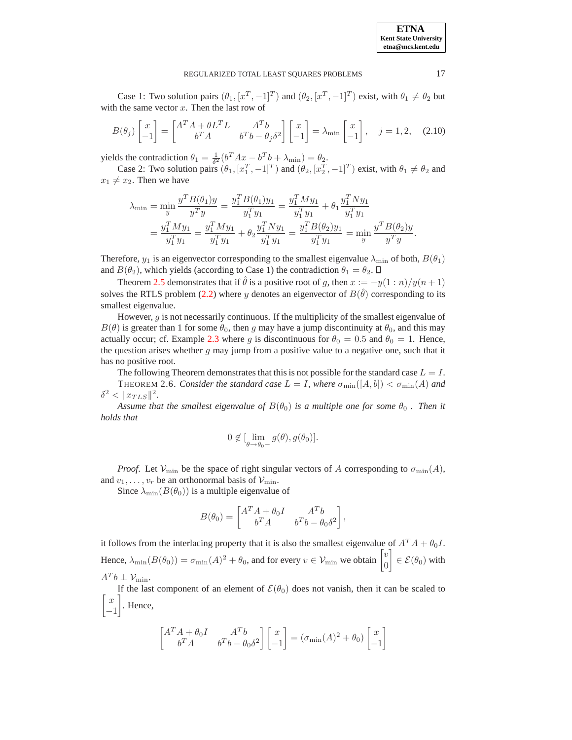### REGULARIZED TOTAL LEAST SOUARES PROBLEMS 17

Case 1: Two solution pairs  $(\theta_1, [x^T, -1]^T)$  and  $(\theta_2, [x^T, -1]^T)$  exist, with  $\theta_1 \neq \theta_2$  but with the same vector  $x$ . Then the last row of

$$
B(\theta_j) \begin{bmatrix} x \\ -1 \end{bmatrix} = \begin{bmatrix} A^T A + \theta L^T L & A^T b \\ b^T A & b^T b - \theta_j \delta^2 \end{bmatrix} \begin{bmatrix} x \\ -1 \end{bmatrix} = \lambda_{\min} \begin{bmatrix} x \\ -1 \end{bmatrix}, \quad j = 1, 2, \quad (2.10)
$$

yields the contradiction  $\theta_1 = \frac{1}{\delta^2} (b^T A x - b^T b + \lambda_{\min}) = \theta_2$ .

Case 2: Two solution pairs  $(\theta_1, [x_1^T, -1]^T)$  and  $(\theta_2, [x_2^T, -1]^T)$  exist, with  $\theta_1 \neq \theta_2$  and  $x_1 \neq x_2$ . Then we have

$$
\lambda_{\min} = \min_{y} \frac{y^T B(\theta_1) y}{y^T y} = \frac{y_1^T B(\theta_1) y_1}{y_1^T y_1} = \frac{y_1^T M y_1}{y_1^T y_1} + \theta_1 \frac{y_1^T N y_1}{y_1^T y_1}
$$

$$
= \frac{y_1^T M y_1}{y_1^T y_1} = \frac{y_1^T M y_1}{y_1^T y_1} + \theta_2 \frac{y_1^T N y_1}{y_1^T y_1} = \frac{y_1^T B(\theta_2) y_1}{y_1^T y_1} = \min_{y} \frac{y^T B(\theta_2) y}{y^T y}.
$$

Therefore,  $y_1$  is an eigenvector corresponding to the smallest eigenvalue  $\lambda_{\min}$  of both,  $B(\theta_1)$ and  $B(\theta_2)$ , which yields (according to Case 1) the contradiction  $\theta_1 = \theta_2$ .  $\Box$ 

Theorem [2.5](#page-3-0) demonstrates that if  $\hat{\theta}$  is a positive root of g, then  $x := -y(1:n)/y(n+1)$ solves the RTLS problem [\(2.2\)](#page-1-2) where y denotes an eigenvector of  $B(\hat{\theta})$  corresponding to its smallest eigenvalue.

However, g is not necessarily continuous. If the multiplicity of the smallest eigenvalue of  $B(\theta)$  is greater than 1 for some  $\theta_0$ , then g may have a jump discontinuity at  $\theta_0$ , and this may actually occur; cf. Example [2.3](#page-2-3) where g is discontinuous for  $\theta_0 = 0.5$  and  $\theta_0 = 1$ . Hence, the question arises whether  $g$  may jump from a positive value to a negative one, such that it has no positive root.

The following Theorem demonstrates that this is not possible for the standard case  $L = I$ . THEOREM 2.6. *Consider the standard case*  $L = I$ , where  $\sigma_{\min}([A, b]) < \sigma_{\min}(A)$  and  $\delta^2 < ||x_{TLS}||^2.$ 

*Assume that the smallest eigenvalue of*  $B(\theta_0)$  *is a multiple one for some*  $\theta_0$ . *Then it holds that*

$$
0 \notin [\lim_{\theta \to \theta_0-} g(\theta), g(\theta_0)].
$$

*Proof.* Let  $V_{\text{min}}$  be the space of right singular vectors of A corresponding to  $\sigma_{\text{min}}(A)$ , and  $v_1, \ldots, v_r$  be an orthonormal basis of  $\mathcal{V}_{\text{min}}$ .

Since  $\lambda_{\min}(B(\theta_0))$  is a multiple eigenvalue of

$$
B(\theta_0) = \begin{bmatrix} A^T A + \theta_0 I & A^T b \\ b^T A & b^T b - \theta_0 \delta^2 \end{bmatrix}
$$

,

it follows from the interlacing property that it is also the smallest eigenvalue of  $A^T A + \theta_0 I$ . Hence,  $\lambda_{\min}(B(\theta_0)) = \sigma_{\min}(A)^2 + \theta_0$ , and for every  $v \in \mathcal{V}_{\min}$  we obtain  $\begin{bmatrix} v \\ 0 \end{bmatrix}$  $\overline{0}$  $\Big] \in \mathcal{E}(\theta_0)$  with  $A^T b \perp \mathcal{V}_{\text{min}}.$ 

If the last component of an element of  $\mathcal{E}(\theta_0)$  does not vanish, then it can be scaled to  $\lceil x \rceil$ −1 . Hence,

$$
\begin{bmatrix} A^T A + \theta_0 I & A^T b \\ b^T A & b^T b - \theta_0 \delta^2 \end{bmatrix} \begin{bmatrix} x \\ -1 \end{bmatrix} = (\sigma_{\min}(A)^2 + \theta_0) \begin{bmatrix} x \\ -1 \end{bmatrix}
$$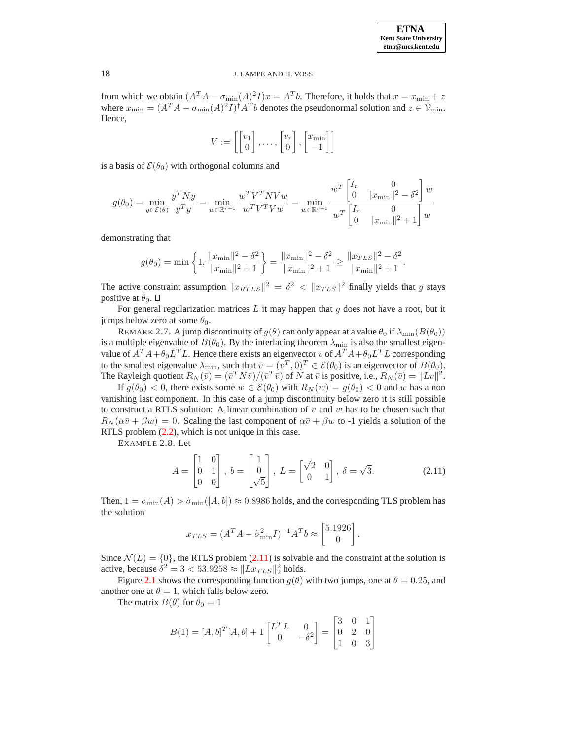from which we obtain  $(A^T A - \sigma_{\min}(A)^2 I)x = A^T b$ . Therefore, it holds that  $x = x_{\min} + z$ where  $x_{\min} = (A^T A - \sigma_{\min}(A)^2 I)^{\dagger} A^T b$  denotes the pseudonormal solution and  $z \in \mathcal{V}_{\min}$ . Hence,

$$
V := \left[ \begin{bmatrix} v_1 \\ 0 \end{bmatrix}, \dots, \begin{bmatrix} v_r \\ 0 \end{bmatrix}, \begin{bmatrix} x_{\min} \\ -1 \end{bmatrix} \right]
$$

is a basis of  $\mathcal{E}(\theta_0)$  with orthogonal columns and

$$
g(\theta_0) = \min_{y \in \mathcal{E}(\theta)} \frac{y^T N y}{y^T y} = \min_{w \in \mathbb{R}^{r+1}} \frac{w^T V^T N V w}{w^T V^T V w} = \min_{w \in \mathbb{R}^{r+1}} \frac{w^T \begin{bmatrix} I_r & 0 \\ 0 & ||x_{\min}||^2 - \delta^2 \end{bmatrix} w}{w^T \begin{bmatrix} I_r & 0 \\ 0 & ||x_{\min}||^2 + 1 \end{bmatrix} w}
$$

demonstrating that

$$
g(\theta_0) = \min\left\{1, \frac{\|x_{\min}\|^2 - \delta^2}{\|x_{\min}\|^2 + 1}\right\} = \frac{\|x_{\min}\|^2 - \delta^2}{\|x_{\min}\|^2 + 1} \ge \frac{\|x_{TLS}\|^2 - \delta^2}{\|x_{\min}\|^2 + 1}.
$$

The active constraint assumption  $||x_{RTLS}||^2 = \delta^2 < ||x_{TLS}||^2$  finally yields that g stays positive at  $\theta_0$ .  $\Box$ 

For general regularization matrices  $L$  it may happen that  $g$  does not have a root, but it jumps below zero at some  $\theta_0$ .

REMARK 2.7. A jump discontinuity of  $g(\theta)$  can only appear at a value  $\theta_0$  if  $\lambda_{\min}(B(\theta_0))$ is a multiple eigenvalue of  $B(\theta_0)$ . By the interlacing theorem  $\lambda_{\min}$  is also the smallest eigenvalue of  $A^T A + \theta_0 L^T L$ . Hence there exists an eigenvector v of  $A^T A + \theta_0 L^T L$  corresponding to the smallest eigenvalue  $\lambda_{\min}$ , such that  $\overline{v} = (v^T, 0)^T \in \mathcal{E}(\theta_0)$  is an eigenvector of  $B(\theta_0)$ . The Rayleigh quotient  $R_N(\bar{v}) = (\bar{v}^T N \bar{v})/(\bar{v}^T \bar{v})$  of N at  $\bar{v}$  is positive, i.e.,  $R_N(\bar{v}) = ||Lv||^2$ .

<span id="page-6-1"></span>If  $g(\theta_0) < 0$ , there exists some  $w \in \mathcal{E}(\theta_0)$  with  $R_N(w) = g(\theta_0) < 0$  and w has a non vanishing last component. In this case of a jump discontinuity below zero it is still possible to construct a RTLS solution: A linear combination of  $\bar{v}$  and w has to be chosen such that  $R_N(\alpha \bar{v} + \beta w) = 0$ . Scaling the last component of  $\alpha \bar{v} + \beta w$  to -1 yields a solution of the RTLS problem [\(2.2\)](#page-1-2), which is not unique in this case.

<span id="page-6-0"></span>EXAMPLE 2.8. Let

$$
A = \begin{bmatrix} 1 & 0 \\ 0 & 1 \\ 0 & 0 \end{bmatrix}, b = \begin{bmatrix} 1 \\ 0 \\ \sqrt{5} \end{bmatrix}, L = \begin{bmatrix} \sqrt{2} & 0 \\ 0 & 1 \end{bmatrix}, \delta = \sqrt{3}.
$$
 (2.11)

Then,  $1 = \sigma_{\min}(A) > \tilde{\sigma}_{\min}([A, b]) \approx 0.8986$  holds, and the corresponding TLS problem has the solution

$$
x_{TLS} = (A^T A - \tilde{\sigma}_{\min}^2 I)^{-1} A^T b \approx \begin{bmatrix} 5.1926 \\ 0 \end{bmatrix}.
$$

Since  $\mathcal{N}(L) = \{0\}$ , the RTLS problem [\(2.11\)](#page-6-0) is solvable and the constraint at the solution is active, because  $\delta^2 = 3 < 53.9258 \approx ||Lx_{TLS}||_2^2$  holds.

Figure [2.1](#page-7-1) shows the corresponding function  $g(\theta)$  with two jumps, one at  $\theta = 0.25$ , and another one at  $\theta = 1$ , which falls below zero.

The matrix  $B(\theta)$  for  $\theta_0 = 1$ 

$$
B(1) = [A, b]^T [A, b] + 1 \begin{bmatrix} L^T L & 0 \\ 0 & -\delta^2 \end{bmatrix} = \begin{bmatrix} 3 & 0 & 1 \\ 0 & 2 & 0 \\ 1 & 0 & 3 \end{bmatrix}
$$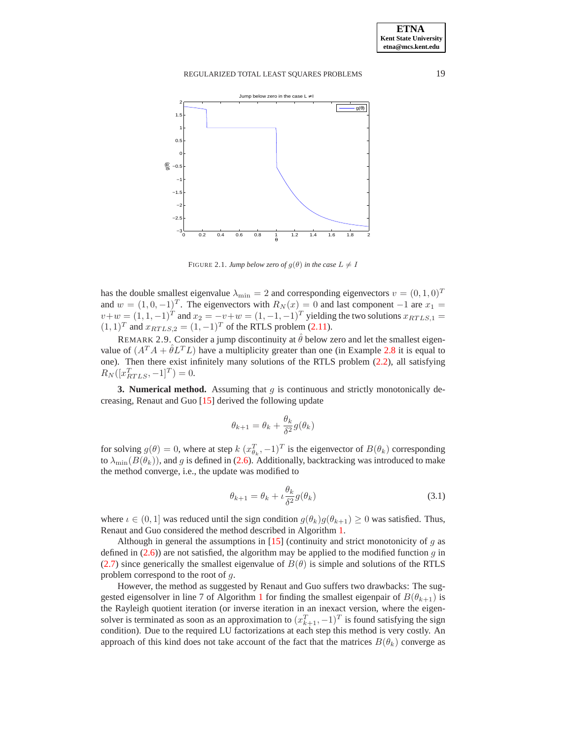# REGULARIZED TOTAL LEAST SOUARES PROBLEMS 19



<span id="page-7-1"></span>FIGURE 2.1. *Jump below zero of*  $q(\theta)$  *in the case*  $L \neq I$ 

has the double smallest eigenvalue  $\lambda_{\min} = 2$  and corresponding eigenvectors  $v = (0, 1, 0)^T$ and  $w = (1, 0, -1)^T$ . The eigenvectors with  $R_N(x) = 0$  and last component  $-1$  are  $x_1 =$  $v+w = (1, 1, -1)^T$  and  $x_2 = -v+w = (1, -1, -1)^T$  yielding the two solutions  $x_{RTLS,1} =$  $(1, 1)^T$  and  $x_{RTLS,2} = (1, -1)^T$  of the RTLS problem [\(2.11\)](#page-6-0).

REMARK 2.9. Consider a jump discontinuity at  $\hat{\theta}$  below zero and let the smallest eigenvalue of  $(A^T A + \hat{\theta} L^T L)$  have a multiplicity greater than one (in Example [2.8](#page-6-1) it is equal to one). Then there exist infinitely many solutions of the RTLS problem [\(2.2\)](#page-1-2), all satisfying  $R_N([x_{RTLS}^T, -1]^T) = 0.$ 

<span id="page-7-0"></span>**3. Numerical method.** Assuming that  $q$  is continuous and strictly monotonically decreasing, Renaut and Guo [\[15\]](#page-12-8) derived the following update

$$
\theta_{k+1} = \theta_k + \frac{\theta_k}{\delta^2} g(\theta_k)
$$

for solving  $g(\theta) = 0$ , where at step  $k(x_{\theta_k}^T, -1)^T$  is the eigenvector of  $B(\theta_k)$  corresponding to  $\lambda_{\min}(B(\theta_k))$ , and g is defined in [\(2.6\)](#page-2-4). Additionally, backtracking was introduced to make the method converge, i.e., the update was modified to

<span id="page-7-2"></span>
$$
\theta_{k+1} = \theta_k + \iota \frac{\theta_k}{\delta^2} g(\theta_k)
$$
\n(3.1)

where  $\iota \in (0,1]$  was reduced until the sign condition  $g(\theta_k)g(\theta_{k+1}) \geq 0$  was satisfied. Thus, Renaut and Guo considered the method described in Algorithm [1.](#page-8-0)

Although in general the assumptions in [\[15\]](#page-12-8) (continuity and strict monotonicity of q as defined in  $(2.6)$ ) are not satisfied, the algorithm may be applied to the modified function g in [\(2.7\)](#page-3-1) since generically the smallest eigenvalue of  $B(\theta)$  is simple and solutions of the RTLS problem correspond to the root of g.

However, the method as suggested by Renaut and Guo suffers two drawbacks: The sug-gested eigensolver in line 7 of Algorithm [1](#page-8-0) for finding the smallest eigenpair of  $B(\theta_{k+1})$  is the Rayleigh quotient iteration (or inverse iteration in an inexact version, where the eigensolver is terminated as soon as an approximation to  $(x_{k+1}^T, -1)^T$  is found satisfying the sign condition). Due to the required LU factorizations at each step this method is very costly. An approach of this kind does not take account of the fact that the matrices  $B(\theta_k)$  converge as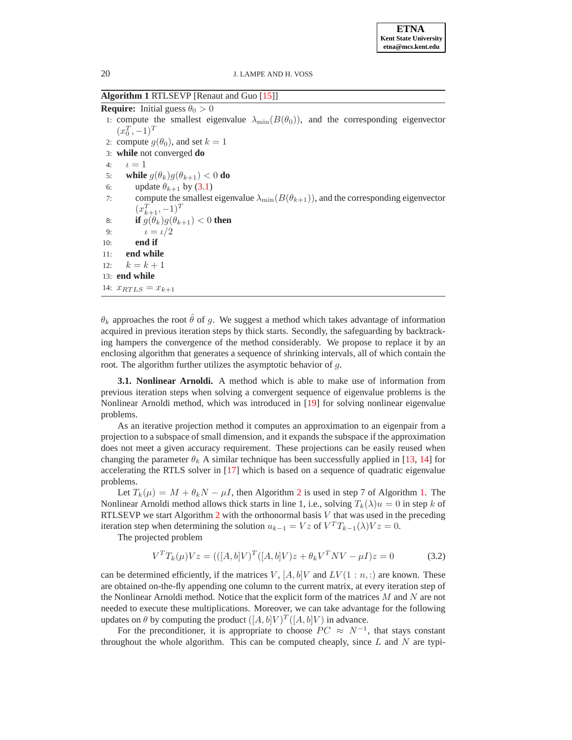<span id="page-8-0"></span>**Algorithm 1** RTLSEVP [Renaut and Guo [\[15\]](#page-12-8)]

**Require:** Initial guess  $\theta_0 > 0$ 1: compute the smallest eigenvalue  $\lambda_{\min}(B(\theta_0))$ , and the corresponding eigenvector  $(x_0^T, -1)^T$ 2: compute  $g(\theta_0)$ , and set  $k = 1$ 3: **while** not converged **do** 4:  $\iota = 1$ 5: **while**  $g(\theta_k)g(\theta_{k+1}) < 0$  do 6: update  $\theta_{k+1}$  by [\(3.1\)](#page-7-2) 7: compute the smallest eigenvalue  $\lambda_{\min}(B(\theta_{k+1}))$ , and the corresponding eigenvector  $(x_{k+1}^T, -1)^T$ 8: **if**  $g(\theta_k)g(\theta_{k+1}) < 0$  **then** 9:  $t = t/2$ 10: **end if** 11: **end while** 12:  $k = k + 1$ 13: **end while** 14:  $x_{RTLS} = x_{k+1}$ 

 $\theta_k$  approaches the root  $\hat{\theta}$  of q. We suggest a method which takes advantage of information acquired in previous iteration steps by thick starts. Secondly, the safeguarding by backtracking hampers the convergence of the method considerably. We propose to replace it by an enclosing algorithm that generates a sequence of shrinking intervals, all of which contain the root. The algorithm further utilizes the asymptotic behavior of g.

<span id="page-8-1"></span>**3.1. Nonlinear Arnoldi.** A method which is able to make use of information from previous iteration steps when solving a convergent sequence of eigenvalue problems is the Nonlinear Arnoldi method, which was introduced in [\[19\]](#page-12-18) for solving nonlinear eigenvalue problems.

As an iterative projection method it computes an approximation to an eigenpair from a projection to a subspace of small dimension, and it expands the subspace if the approximation does not meet a given accuracy requirement. These projections can be easily reused when changing the parameter  $\theta_k$ . A similar technique has been successfully applied in [\[13,](#page-12-14) [14\]](#page-12-15) for accelerating the RTLS solver in [\[17\]](#page-12-10) which is based on a sequence of quadratic eigenvalue problems.

Let  $T_k(\mu) = M + \theta_k N - \mu I$ , then Algorithm [2](#page-9-0) is used in step 7 of Algorithm [1.](#page-8-0) The Nonlinear Arnoldi method allows thick starts in line 1, i.e., solving  $T_k(\lambda)u = 0$  in step k of RTLSEVP we start Algorithm [2](#page-9-0) with the orthonormal basis  $V$  that was used in the preceding iteration step when determining the solution  $u_{k-1} = Vz$  of  $V^T T_{k-1}(\lambda) V z = 0$ .

The projected problem

$$
V^{T}T_{k}(\mu)Vz = (([A,b]V)^{T}([A,b]V)z + \theta_{k}V^{T}NV - \mu I)z = 0
$$
\n(3.2)

can be determined efficiently, if the matrices V,  $[A, b]V$  and  $LV(1:n,:)$  are known. These are obtained on-the-fly appending one column to the current matrix, at every iteration step of the Nonlinear Arnoldi method. Notice that the explicit form of the matrices  $M$  and  $N$  are not needed to execute these multiplications. Moreover, we can take advantage for the following updates on  $\theta$  by computing the product  $([A, b]V)^T([A, b]V)$  in advance.

For the preconditioner, it is appropriate to choose  $PC \approx N^{-1}$ , that stays constant throughout the whole algorithm. This can be computed cheaply, since  $L$  and  $N$  are typi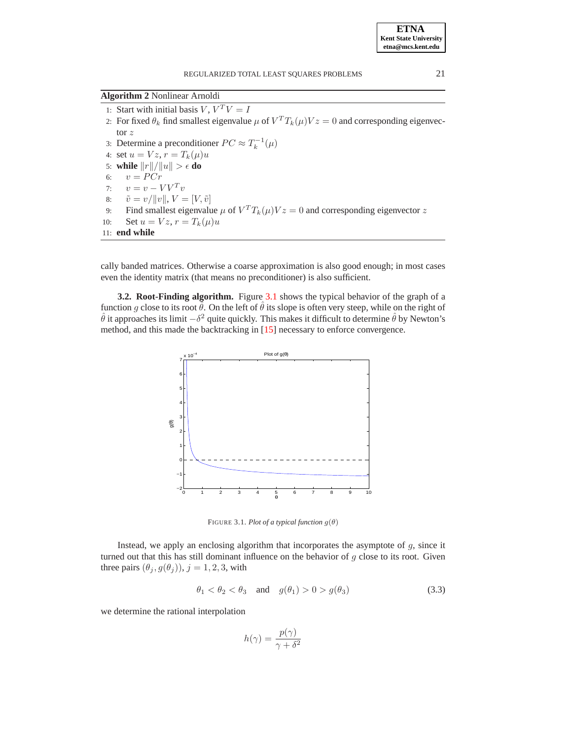<span id="page-9-0"></span>**Algorithm 2** Nonlinear Arnoldi

1: Start with initial basis  $V, V^T V = I$ 2: For fixed  $\theta_k$  find smallest eigenvalue  $\mu$  of  $V^T T_k(\mu) V z = 0$  and corresponding eigenvector z 3: Determine a preconditioner  $PC \approx T_k^{-1}(\mu)$ 4: set  $u = Vz$ ,  $r = T_k(\mu)u$ 5: **while**  $||r||/||u|| > \epsilon$  **do**<br>6:  $v = PCr$  $v = P C r$ 7:  $v = v - V V^T v$ <br>8:  $\tilde{v} = v / ||v||, V =$ 8:  $\tilde{v} = v/||v||$ ,  $V = [V, \tilde{v}]$ <br>9: Find smallest eigenvalu 9: Find smallest eigenvalue  $\mu$  of  $V^T T_k(\mu) V z = 0$  and corresponding eigenvector z 10: Set  $u = Vz$ ,  $r = T_k(\mu)u$ 11: **end while**

cally banded matrices. Otherwise a coarse approximation is also good enough; in most cases even the identity matrix (that means no preconditioner) is also sufficient.

<span id="page-9-3"></span>**3.2. Root-Finding algorithm.** Figure [3.1](#page-9-1) shows the typical behavior of the graph of a function g close to its root  $\hat{\theta}$ . On the left of  $\hat{\theta}$  its slope is often very steep, while on the right of  $\hat{\theta}$  it approaches its limit  $-\delta^2$  quite quickly. This makes it difficult to determine  $\hat{\theta}$  by Newton's method, and this made the backtracking in [\[15\]](#page-12-8) necessary to enforce convergence.



<span id="page-9-1"></span>FIGURE 3.1. *Plot of a typical function*  $g(\theta)$ 

<span id="page-9-2"></span>Instead, we apply an enclosing algorithm that incorporates the asymptote of  $g$ , since it turned out that this has still dominant influence on the behavior of  $q$  close to its root. Given three pairs  $(\theta_j, g(\theta_j))$ ,  $j = 1, 2, 3$ , with

$$
\theta_1 < \theta_2 < \theta_3 \quad \text{and} \quad g(\theta_1) > 0 > g(\theta_3) \tag{3.3}
$$

we determine the rational interpolation

$$
h(\gamma) = \frac{p(\gamma)}{\gamma + \delta^2}
$$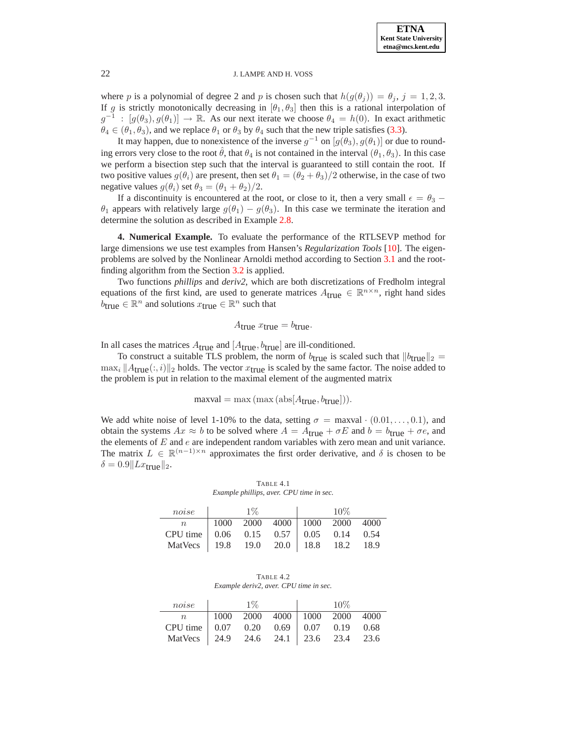where p is a polynomial of degree 2 and p is chosen such that  $h(g(\theta_i)) = \theta_i$ ,  $j = 1, 2, 3$ . If g is strictly monotonically decreasing in  $[\theta_1, \theta_3]$  then this is a rational interpolation of  $g^{-1}$ :  $[g(\theta_3), g(\theta_1)] \to \mathbb{R}$ . As our next iterate we choose  $\theta_4 = h(0)$ . In exact arithmetic  $\theta_4 \in (\theta_1, \theta_3)$ , and we replace  $\theta_1$  or  $\theta_3$  by  $\theta_4$  such that the new triple satisfies [\(3.3\)](#page-9-2).

It may happen, due to nonexistence of the inverse  $g^{-1}$  on  $[g(\theta_3), g(\theta_1)]$  or due to rounding errors very close to the root  $\hat{\theta}$ , that  $\theta_4$  is not contained in the interval  $(\theta_1, \theta_3)$ . In this case we perform a bisection step such that the interval is guaranteed to still contain the root. If two positive values  $g(\theta_i)$  are present, then set  $\theta_1 = (\theta_2 + \theta_3)/2$  otherwise, in the case of two negative values  $q(\theta_i)$  set  $\theta_3 = (\theta_1 + \theta_2)/2$ .

If a discontinuity is encountered at the root, or close to it, then a very small  $\epsilon = \theta_3$  –  $\theta_1$  appears with relatively large  $g(\theta_1) - g(\theta_3)$ . In this case we terminate the iteration and determine the solution as described in Example [2.8.](#page-6-1)

**4. Numerical Example.** To evaluate the performance of the RTLSEVP method for large dimensions we use test examples from Hansen's *Regularization Tools* [\[10\]](#page-12-16). The eigenproblems are solved by the Nonlinear Arnoldi method according to Section [3.1](#page-8-1) and the rootfinding algorithm from the Section [3.2](#page-9-3) is applied.

Two functions *phillips* and *deriv2*, which are both discretizations of Fredholm integral equations of the first kind, are used to generate matrices  $A_{true} \in \mathbb{R}^{n \times n}$ , right hand sides  $\vec{b}_{true} \in \mathbb{R}^n$  and solutions  $x_{true} \in \mathbb{R}^n$  such that

$$
A_{\text{true}} x_{\text{true}} = b_{\text{true}}.
$$

In all cases the matrices  $A_{true}$  and  $[A_{true}, b_{true}]$  are ill-conditioned.

To construct a suitable TLS problem, the norm of  $b_{true}$  is scaled such that  $||b_{true}||_2 =$  $\max_i \|A_{\text{true}}(:, i)\|_2$  holds. The vector  $x_{\text{true}}$  is scaled by the same factor. The noise added to the problem is put in relation to the maximal element of the augmented matrix

$$
\text{maxval} = \max(\max(\text{abs}[A_{\text{true}}, b_{\text{true}}])).
$$

We add white noise of level 1-10% to the data, setting  $\sigma = \max$ val · (0.01, ..., 0.1), and obtain the systems  $Ax \approx b$  to be solved where  $A = A_{true} + \sigma E$  and  $b = b_{true} + \sigma e$ , and the elements of  $E$  and  $e$  are independent random variables with zero mean and unit variance. The matrix  $L \in \mathbb{R}^{(n-1)\times n}$  approximates the first order derivative, and  $\delta$  is chosen to be  $\delta = 0.9$ || $Lx_{\text{true}}$ ||<sub>2</sub>.

TABLE 4.1 *Example phillips, aver. CPU time in sec.*

<span id="page-10-0"></span>

| noise l                                                                                                            | $1\%$ |  | $10\%$ |  |
|--------------------------------------------------------------------------------------------------------------------|-------|--|--------|--|
|                                                                                                                    |       |  |        |  |
|                                                                                                                    |       |  |        |  |
| n 1000 2000 4000 1000 2000 4000<br>CPU time 0.06 0.15 0.57 0.05 0.14 0.54<br>MatVecs 19.8 19.0 20.0 18.8 18.2 18.9 |       |  |        |  |

TABLE 4.2 *Example deriv2, aver. CPU time in sec.*

<span id="page-10-1"></span>

| noise                                      |                                 | $1\%$ |  | $10\%$ |  |
|--------------------------------------------|---------------------------------|-------|--|--------|--|
| n                                          | 1000 2000 4000   1000 2000 4000 |       |  |        |  |
| CPU time   0.07 0.20 0.69   0.07 0.19 0.68 |                                 |       |  |        |  |
| MatVecs 24.9 24.6 24.1 23.6 23.4 23.6      |                                 |       |  |        |  |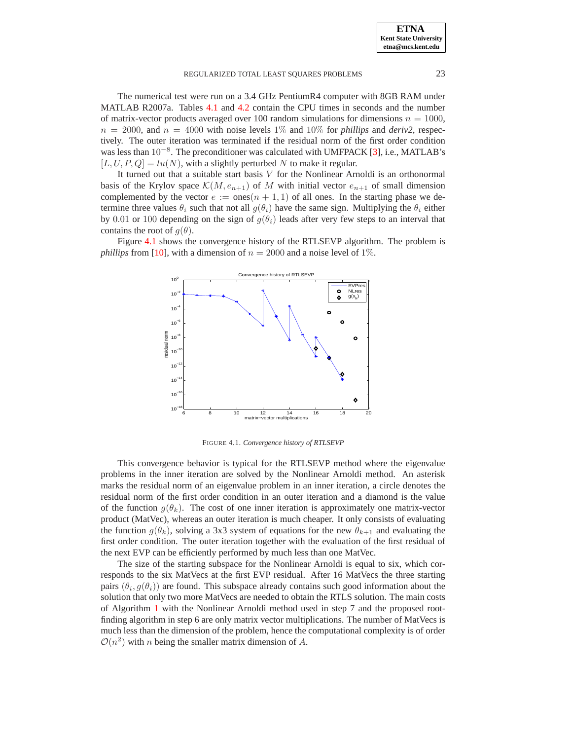### REGULARIZED TOTAL LEAST SQUARES PROBLEMS 23

The numerical test were run on a 3.4 GHz PentiumR4 computer with 8GB RAM under MATLAB R2007a. Tables [4.1](#page-10-0) and [4.2](#page-10-1) contain the CPU times in seconds and the number of matrix-vector products averaged over 100 random simulations for dimensions  $n = 1000$ ,  $n = 2000$ , and  $n = 4000$  with noise levels 1% and 10% for *phillips* and *deriv2*, respectively. The outer iteration was terminated if the residual norm of the first order condition was less than  $10^{-8}$ . The preconditioner was calculated with UMFPACK [\[3\]](#page-12-19), i.e., MATLAB's  $[L, U, P, Q] = lu(N)$ , with a slightly perturbed N to make it regular.

It turned out that a suitable start basis  $V$  for the Nonlinear Arnoldi is an orthonormal basis of the Krylov space  $\mathcal{K}(M, e_{n+1})$  of M with initial vector  $e_{n+1}$  of small dimension complemented by the vector  $e := \text{ones}(n + 1, 1)$  of all ones. In the starting phase we determine three values  $\theta_i$  such that not all  $g(\theta_i)$  have the same sign. Multiplying the  $\theta_i$  either by 0.01 or 100 depending on the sign of  $q(\theta_i)$  leads after very few steps to an interval that contains the root of  $g(\theta)$ .

Figure [4.1](#page-11-0) shows the convergence history of the RTLSEVP algorithm. The problem is *phillips* from [\[10\]](#page-12-16), with a dimension of  $n = 2000$  and a noise level of 1%.



<span id="page-11-0"></span>FIGURE 4.1. *Convergence history of RTLSEVP*

This convergence behavior is typical for the RTLSEVP method where the eigenvalue problems in the inner iteration are solved by the Nonlinear Arnoldi method. An asterisk marks the residual norm of an eigenvalue problem in an inner iteration, a circle denotes the residual norm of the first order condition in an outer iteration and a diamond is the value of the function  $g(\theta_k)$ . The cost of one inner iteration is approximately one matrix-vector product (MatVec), whereas an outer iteration is much cheaper. It only consists of evaluating the function  $g(\theta_k)$ , solving a 3x3 system of equations for the new  $\theta_{k+1}$  and evaluating the first order condition. The outer iteration together with the evaluation of the first residual of the next EVP can be efficiently performed by much less than one MatVec.

The size of the starting subspace for the Nonlinear Arnoldi is equal to six, which corresponds to the six MatVecs at the first EVP residual. After 16 MatVecs the three starting pairs  $(\theta_i, g(\theta_i))$  are found. This subspace already contains such good information about the solution that only two more MatVecs are needed to obtain the RTLS solution. The main costs of Algorithm [1](#page-8-0) with the Nonlinear Arnoldi method used in step 7 and the proposed rootfinding algorithm in step 6 are only matrix vector multiplications. The number of MatVecs is much less than the dimension of the problem, hence the computational complexity is of order  $\mathcal{O}(n^2)$  with *n* being the smaller matrix dimension of *A*.